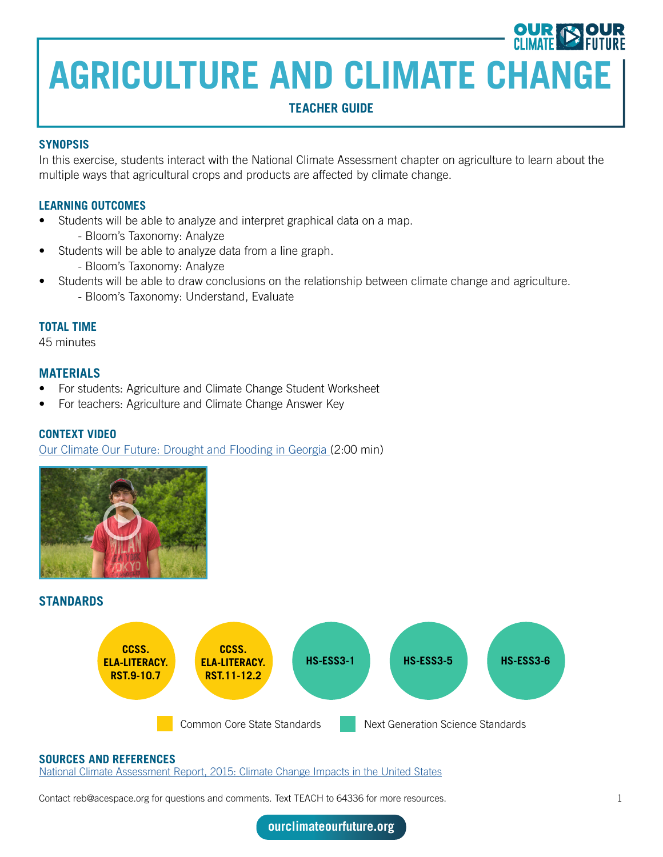### **TEACHER GUIDE**

#### **SYNOPSIS**

In this exercise, students interact with the National Climate Assessment chapter on agriculture to learn about the multiple ways that agricultural crops and products are affected by climate change.

#### **LEARNING OUTCOMES**

- Students will be able to analyze and interpret graphical data on a map.
	- Bloom's Taxonomy: Analyze
- Students will be able to analyze data from a line graph.
	- Bloom's Taxonomy: Analyze
	- Students will be able to draw conclusions on the relationship between climate change and agriculture.
		- Bloom's Taxonomy: Understand, Evaluate

#### **TOTAL TIME**

45 minutes

#### **MATERIALS**

- For students: Agriculture and Climate Change Student Worksheet
- For teachers: Agriculture and Climate Change Answer Key

#### **CONTEXT VIDEO**

[Our Climate Our Future: Drought and Flooding in Georgia \(](https://ourclimateourfuture.org/video/youth-climate-drought-and-flooding-in-georgia/)2:00 min)



### **STANDARDS**



#### **SOURCES AND REFERENCES**

[National Climate Assessment Report, 2015: Climate Change Impacts in the United States](https://nca2014.globalchange.gov/report/sectors/agriculture)

Contact reb@acespace.org for questions and comments. Text TEACH to 64336 for more resources. 1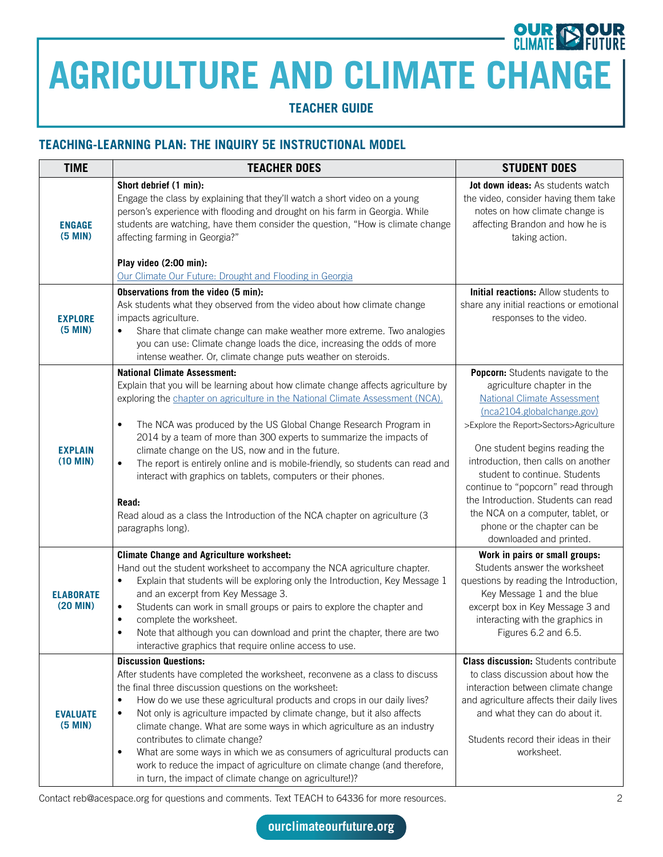## **OUR**<br>CLIMATE **AGRICULTURE AND CLIMATE CHANGE**

**TEACHER GUIDE**

### **TEACHING-LEARNING PLAN: THE INQUIRY 5E INSTRUCTIONAL MODEL**

| <b>TIME</b>                       | <b>TEACHER DOES</b>                                                                                                                                                                                                                                                                                                                                                                                                                                                                                                                                                                                                                                                                                  | <b>STUDENT DOES</b>                                                                                                                                                                                                                                                                                                                                                                                                                                                  |
|-----------------------------------|------------------------------------------------------------------------------------------------------------------------------------------------------------------------------------------------------------------------------------------------------------------------------------------------------------------------------------------------------------------------------------------------------------------------------------------------------------------------------------------------------------------------------------------------------------------------------------------------------------------------------------------------------------------------------------------------------|----------------------------------------------------------------------------------------------------------------------------------------------------------------------------------------------------------------------------------------------------------------------------------------------------------------------------------------------------------------------------------------------------------------------------------------------------------------------|
| <b>ENGAGE</b><br>$(5$ MIN $)$     | Short debrief (1 min):<br>Engage the class by explaining that they'll watch a short video on a young<br>person's experience with flooding and drought on his farm in Georgia. While<br>students are watching, have them consider the question, "How is climate change<br>affecting farming in Georgia?"<br>Play video (2:00 min):<br>Our Climate Our Future: Drought and Flooding in Georgia                                                                                                                                                                                                                                                                                                         | Jot down ideas: As students watch<br>the video, consider having them take<br>notes on how climate change is<br>affecting Brandon and how he is<br>taking action.                                                                                                                                                                                                                                                                                                     |
| <b>EXPLORE</b><br>$(5$ MIN $)$    | Observations from the video (5 min):<br>Ask students what they observed from the video about how climate change<br>impacts agriculture.<br>Share that climate change can make weather more extreme. Two analogies<br>you can use: Climate change loads the dice, increasing the odds of more<br>intense weather. Or, climate change puts weather on steroids.                                                                                                                                                                                                                                                                                                                                        | Initial reactions: Allow students to<br>share any initial reactions or emotional<br>responses to the video.                                                                                                                                                                                                                                                                                                                                                          |
| <b>EXPLAIN</b><br>$(10$ MIN $)$   | <b>National Climate Assessment:</b><br>Explain that you will be learning about how climate change affects agriculture by<br>exploring the chapter on agriculture in the National Climate Assessment (NCA).<br>The NCA was produced by the US Global Change Research Program in<br>$\bullet$<br>2014 by a team of more than 300 experts to summarize the impacts of<br>climate change on the US, now and in the future.<br>The report is entirely online and is mobile-friendly, so students can read and<br>$\bullet$<br>interact with graphics on tablets, computers or their phones.<br>Read:<br>Read aloud as a class the Introduction of the NCA chapter on agriculture (3<br>paragraphs long).  | Popcorn: Students navigate to the<br>agriculture chapter in the<br><b>National Climate Assessment</b><br>(nca2104.globalchange.gov)<br>>Explore the Report>Sectors>Agriculture<br>One student begins reading the<br>introduction, then calls on another<br>student to continue. Students<br>continue to "popcorn" read through<br>the Introduction. Students can read<br>the NCA on a computer, tablet, or<br>phone or the chapter can be<br>downloaded and printed. |
| <b>ELABORATE</b><br>$(20$ MIN $)$ | <b>Climate Change and Agriculture worksheet:</b><br>Hand out the student worksheet to accompany the NCA agriculture chapter.<br>Explain that students will be exploring only the Introduction, Key Message 1<br>$\bullet$<br>and an excerpt from Key Message 3.<br>Students can work in small groups or pairs to explore the chapter and<br>$\bullet$<br>complete the worksheet.<br>$\bullet$<br>Note that although you can download and print the chapter, there are two<br>$\bullet$<br>interactive graphics that require online access to use.                                                                                                                                                    | Work in pairs or small groups:<br>Students answer the worksheet<br>questions by reading the Introduction,<br>Key Message 1 and the blue<br>excerpt box in Key Message 3 and<br>interacting with the graphics in<br>Figures 6.2 and 6.5.                                                                                                                                                                                                                              |
| <b>EVALUATE</b><br>$(5$ MIN $)$   | <b>Discussion Questions:</b><br>After students have completed the worksheet, reconvene as a class to discuss<br>the final three discussion questions on the worksheet:<br>How do we use these agricultural products and crops in our daily lives?<br>$\bullet$<br>Not only is agriculture impacted by climate change, but it also affects<br>$\bullet$<br>climate change. What are some ways in which agriculture as an industry<br>contributes to climate change?<br>What are some ways in which we as consumers of agricultural products can<br>$\bullet$<br>work to reduce the impact of agriculture on climate change (and therefore,<br>in turn, the impact of climate change on agriculture!)? | <b>Class discussion:</b> Students contribute<br>to class discussion about how the<br>interaction between climate change<br>and agriculture affects their daily lives<br>and what they can do about it.<br>Students record their ideas in their<br>worksheet.                                                                                                                                                                                                         |

Contact reb@acespace.org for questions and comments. Text TEACH to 64336 for more resources. 2

**SECTION**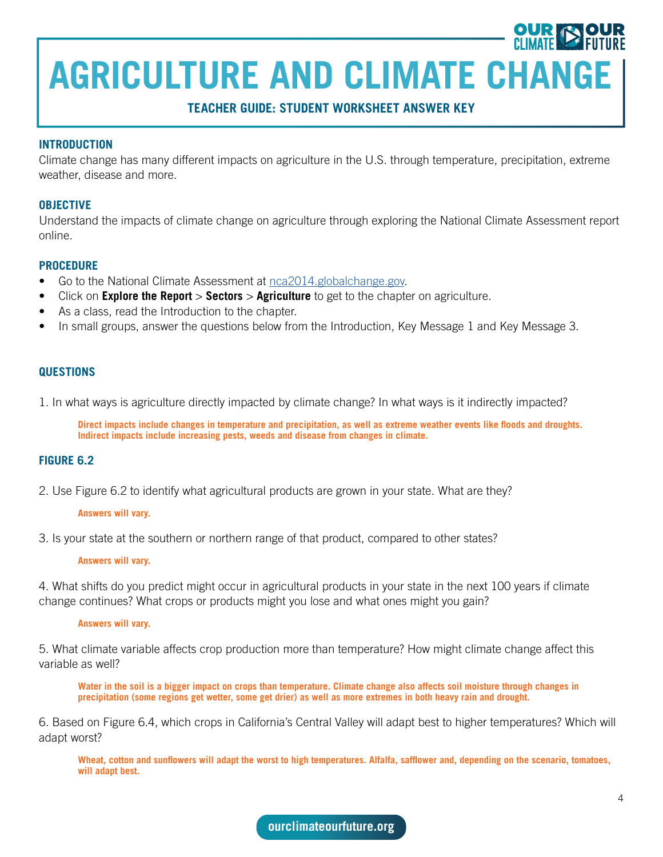**TEACHER GUIDE: STUDENT WORKSHEET ANSWER KEY**

#### **INTRODUCTION**

Climate change has many different impacts on agriculture in the U.S. through temperature, precipitation, extreme weather, disease and more.

#### **OBJECTIVE**

Understand the impacts of climate change on agriculture through exploring the National Climate Assessment report online.

#### **PROCEDURE**

- Go to the National Climate Assessment at [nca2014.globalchange.gov](https://nca2014.globalchange.gov/).
- Click on **Explore the Report** > **Sectors** > **Agriculture** to get to the chapter on agriculture.
- As a class, read the Introduction to the chapter.
- In small groups, answer the questions below from the Introduction, Key Message 1 and Key Message 3.

#### **QUESTIONS**

1. In what ways is agriculture directly impacted by climate change? In what ways is it indirectly impacted?

**Direct impacts include changes in temperature and precipitation, as well as extreme weather events like floods and droughts. Indirect impacts include increasing pests, weeds and disease from changes in climate.**

#### **FIGURE 6.2**

2. Use Figure 6.2 to identify what agricultural products are grown in your state. What are they?

#### **Answers will vary.**

3. Is your state at the southern or northern range of that product, compared to other states?

#### **Answers will vary.**

4. What shifts do you predict might occur in agricultural products in your state in the next 100 years if climate change continues? What crops or products might you lose and what ones might you gain?

#### **Answers will vary.**

5. What climate variable affects crop production more than temperature? How might climate change affect this variable as well?

**Water in the soil is a bigger impact on crops than temperature. Climate change also affects soil moisture through changes in precipitation (some regions get wetter, some get drier) as well as more extremes in both heavy rain and drought.**

6. Based on Figure 6.4, which crops in California's Central Valley will adapt best to higher temperatures? Which will adapt worst?

**Wheat, cotton and sunflowers will adapt the worst to high temperatures. Alfalfa, safflower and, depending on the scenario, tomatoes, will adapt best.**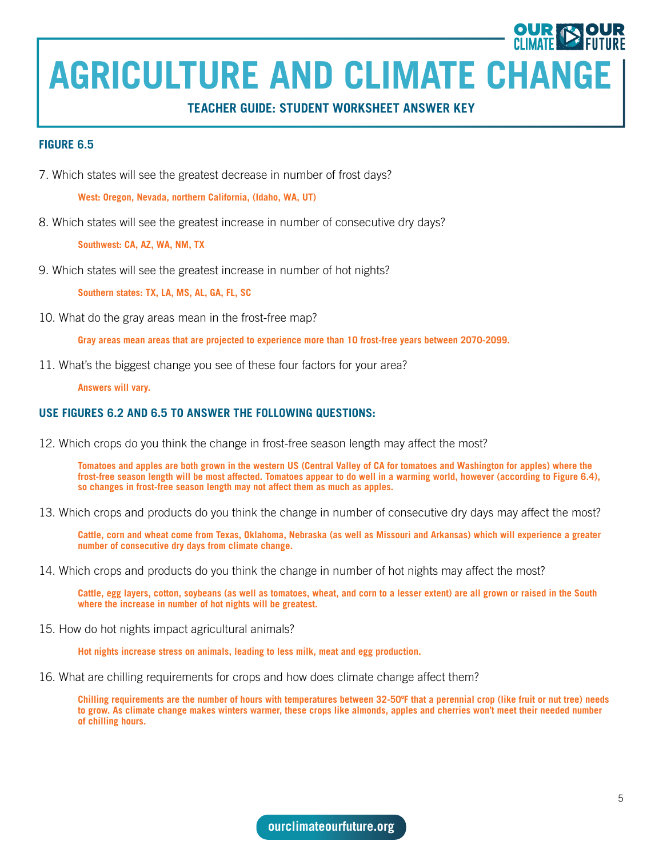#### **TEACHER GUIDE: STUDENT WORKSHEET ANSWER KEY**

#### **FIGURE 6.5**

7. Which states will see the greatest decrease in number of frost days?

**West: Oregon, Nevada, northern California, (Idaho, WA, UT)**

8. Which states will see the greatest increase in number of consecutive dry days?

**Southwest: CA, AZ, WA, NM, TX**

9. Which states will see the greatest increase in number of hot nights?

**Southern states: TX, LA, MS, AL, GA, FL, SC**

10. What do the gray areas mean in the frost-free map?

**Gray areas mean areas that are projected to experience more than 10 frost-free years between 2070-2099.**

11. What's the biggest change you see of these four factors for your area?

**Answers will vary.**

#### **USE FIGURES 6.2 AND 6.5 TO ANSWER THE FOLLOWING QUESTIONS:**

12. Which crops do you think the change in frost-free season length may affect the most?

**Tomatoes and apples are both grown in the western US (Central Valley of CA for tomatoes and Washington for apples) where the frost-free season length will be most affected. Tomatoes appear to do well in a warming world, however (according to Figure 6.4), so changes in frost-free season length may not affect them as much as apples.** 

13. Which crops and products do you think the change in number of consecutive dry days may affect the most?

**Cattle, corn and wheat come from Texas, Oklahoma, Nebraska (as well as Missouri and Arkansas) which will experience a greater number of consecutive dry days from climate change.**

14. Which crops and products do you think the change in number of hot nights may affect the most?

**Cattle, egg layers, cotton, soybeans (as well as tomatoes, wheat, and corn to a lesser extent) are all grown or raised in the South where the increase in number of hot nights will be greatest.**

15. How do hot nights impact agricultural animals?

**Hot nights increase stress on animals, leading to less milk, meat and egg production.**

16. What are chilling requirements for crops and how does climate change affect them?

**Chilling requirements are the number of hours with temperatures between 32-50ºF that a perennial crop (like fruit or nut tree) needs to grow. As climate change makes winters warmer, these crops like almonds, apples and cherries won't meet their needed number of chilling hours.**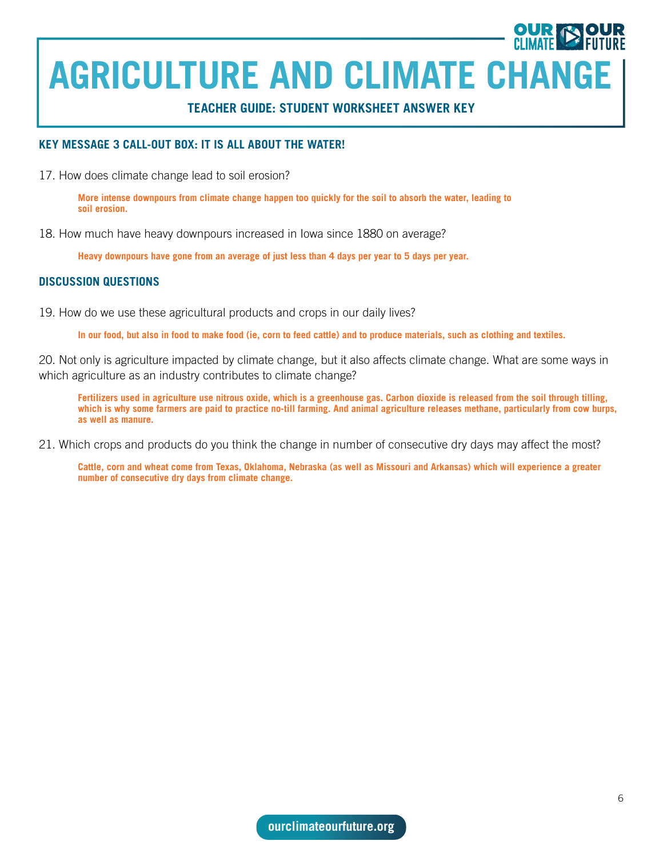**TEACHER GUIDE: STUDENT WORKSHEET ANSWER KEY**

#### **KEY MESSAGE 3 CALL-OUT BOX: IT IS ALL ABOUT THE WATER!**

17. How does climate change lead to soil erosion?

**More intense downpours from climate change happen too quickly for the soil to absorb the water, leading to soil erosion.** 

18. How much have heavy downpours increased in Iowa since 1880 on average?

**Heavy downpours have gone from an average of just less than 4 days per year to 5 days per year.** 

#### **DISCUSSION QUESTIONS**

19. How do we use these agricultural products and crops in our daily lives?

**In our food, but also in food to make food (ie, corn to feed cattle) and to produce materials, such as clothing and textiles.**

20. Not only is agriculture impacted by climate change, but it also affects climate change. What are some ways in which agriculture as an industry contributes to climate change?

**Fertilizers used in agriculture use nitrous oxide, which is a greenhouse gas. Carbon dioxide is released from the soil through tilling, which is why some farmers are paid to practice no-till farming. And animal agriculture releases methane, particularly from cow burps, as well as manure.**

21. Which crops and products do you think the change in number of consecutive dry days may affect the most?

**Cattle, corn and wheat come from Texas, Oklahoma, Nebraska (as well as Missouri and Arkansas) which will experience a greater number of consecutive dry days from climate change.**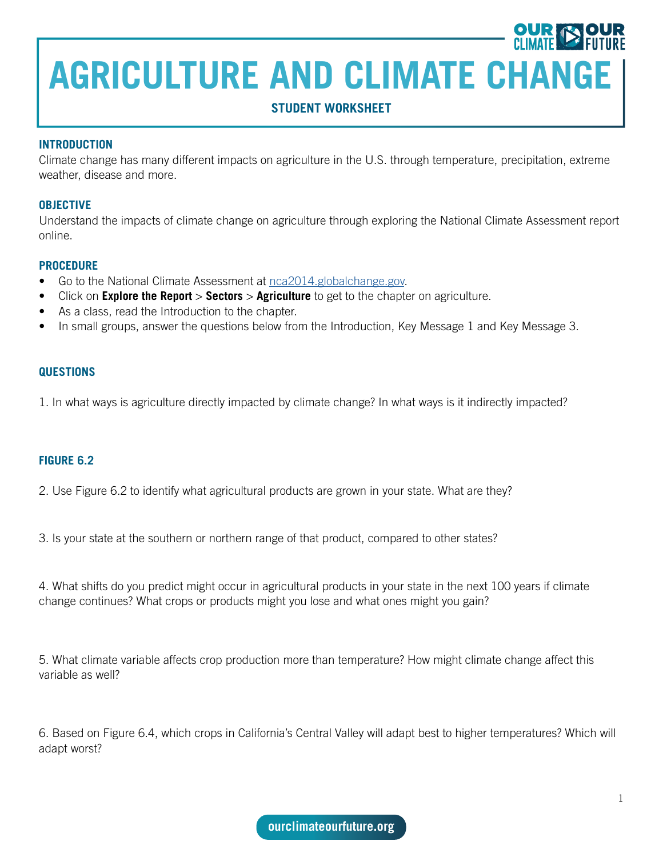### **STUDENT WORKSHEET**

#### **INTRODUCTION**

Climate change has many different impacts on agriculture in the U.S. through temperature, precipitation, extreme weather, disease and more.

#### **OBJECTIVE**

Understand the impacts of climate change on agriculture through exploring the National Climate Assessment report online.

#### **PROCEDURE**

- Go to the National Climate Assessment at [nca2014.globalchange.gov](https://nca2014.globalchange.gov/).
- Click on **Explore the Report** > **Sectors** > **Agriculture** to get to the chapter on agriculture.
- As a class, read the Introduction to the chapter.
- In small groups, answer the questions below from the Introduction, Key Message 1 and Key Message 3.

#### **QUESTIONS**

1. In what ways is agriculture directly impacted by climate change? In what ways is it indirectly impacted?

#### **FIGURE 6.2**

2. Use Figure 6.2 to identify what agricultural products are grown in your state. What are they?

3. Is your state at the southern or northern range of that product, compared to other states?

4. What shifts do you predict might occur in agricultural products in your state in the next 100 years if climate change continues? What crops or products might you lose and what ones might you gain?

5. What climate variable affects crop production more than temperature? How might climate change affect this variable as well?

6. Based on Figure 6.4, which crops in California's Central Valley will adapt best to higher temperatures? Which will adapt worst?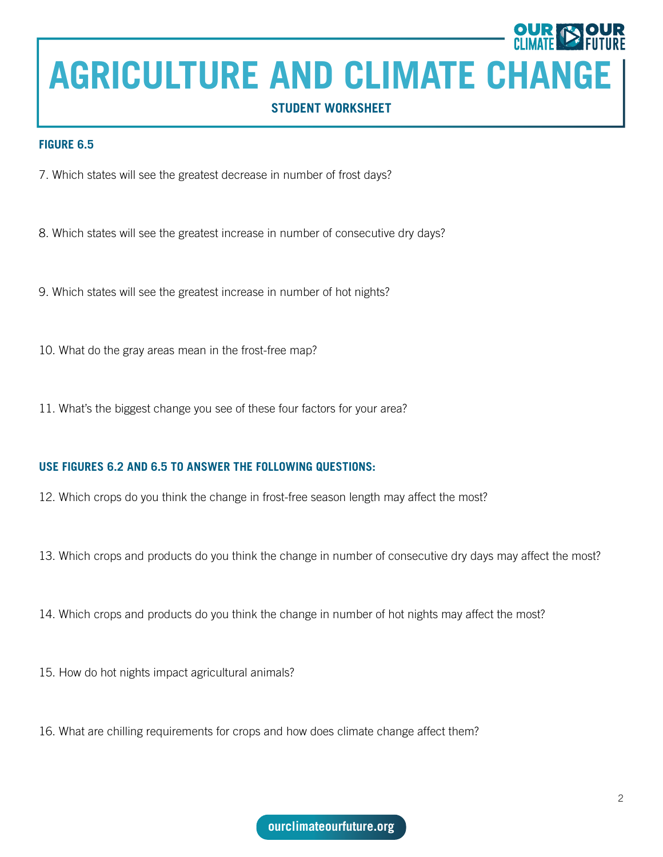### **STUDENT WORKSHEET**

#### **FIGURE 6.5**

- 7. Which states will see the greatest decrease in number of frost days?
- 8. Which states will see the greatest increase in number of consecutive dry days?
- 9. Which states will see the greatest increase in number of hot nights?
- 10. What do the gray areas mean in the frost-free map?
- 11. What's the biggest change you see of these four factors for your area?

#### **USE FIGURES 6.2 AND 6.5 TO ANSWER THE FOLLOWING QUESTIONS:**

- 12. Which crops do you think the change in frost-free season length may affect the most?
- 13. Which crops and products do you think the change in number of consecutive dry days may affect the most?
- 14. Which crops and products do you think the change in number of hot nights may affect the most?
- 15. How do hot nights impact agricultural animals?
- 16. What are chilling requirements for crops and how does climate change affect them?